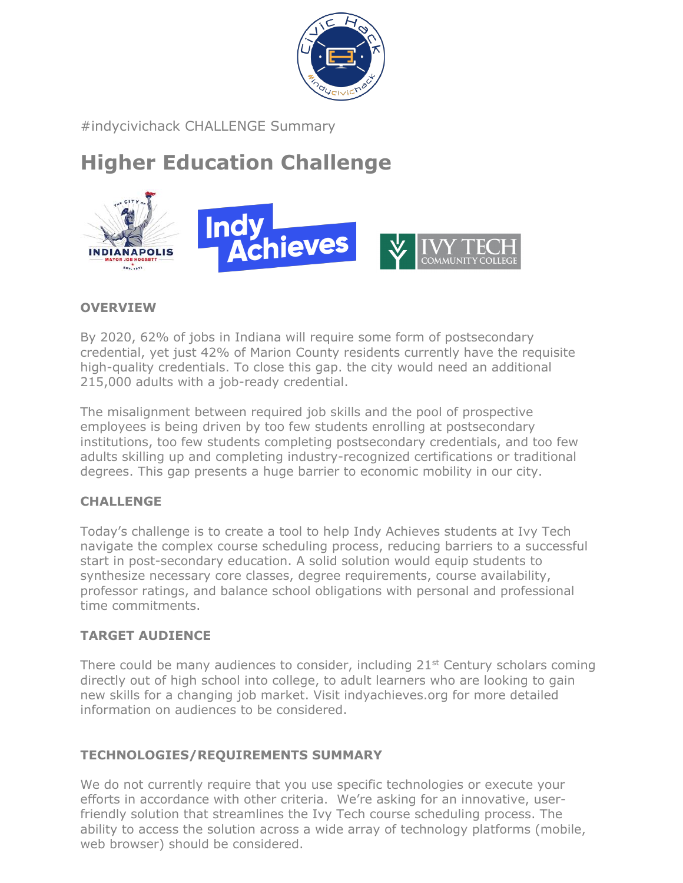

#indycivichack CHALLENGE Summary

# **Higher Education Challenge**



### **OVERVIEW**

By 2020, 62% of jobs in Indiana will require some form of postsecondary credential, yet just 42% of Marion County residents currently have the requisite high-quality credentials. To close this gap. the city would need an additional 215,000 adults with a job-ready credential.

The misalignment between required job skills and the pool of prospective employees is being driven by too few students enrolling at postsecondary institutions, too few students completing postsecondary credentials, and too few adults skilling up and completing industry-recognized certifications or traditional degrees. This gap presents a huge barrier to economic mobility in our city.

### **CHALLENGE**

Today's challenge is to create a tool to help Indy Achieves students at Ivy Tech navigate the complex course scheduling process, reducing barriers to a successful start in post-secondary education. A solid solution would equip students to synthesize necessary core classes, degree requirements, course availability, professor ratings, and balance school obligations with personal and professional time commitments.

### **TARGET AUDIENCE**

There could be many audiences to consider, including  $21<sup>st</sup>$  Century scholars coming directly out of high school into college, to adult learners who are looking to gain new skills for a changing job market. Visit indyachieves.org for more detailed information on audiences to be considered.

### **TECHNOLOGIES/REQUIREMENTS SUMMARY**

We do not currently require that you use specific technologies or execute your efforts in accordance with other criteria. We're asking for an innovative, userfriendly solution that streamlines the Ivy Tech course scheduling process. The ability to access the solution across a wide array of technology platforms (mobile, web browser) should be considered.